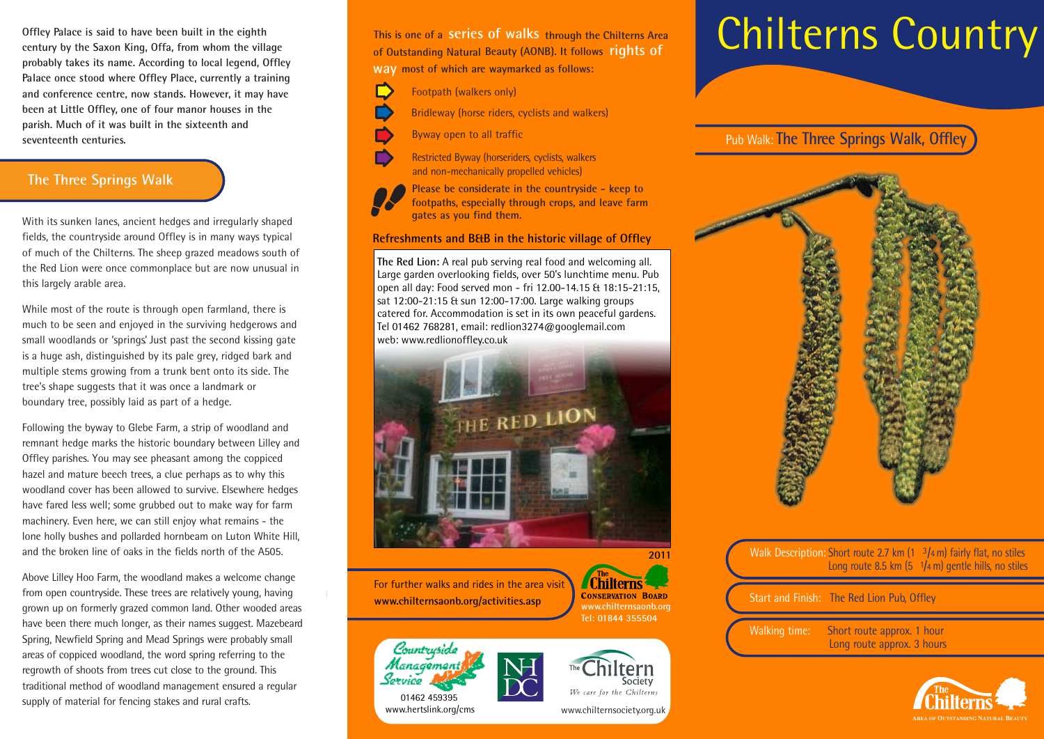**Offley Palace is said to have been built in the eighth century by the Saxon King, Offa, from whom the village probably takes its name. According to local legend, Offley Palace once stood where Offley Place, currently a training and conference centre, now stands. However, it may have been at Little Offley, one of four manor houses in the parish. Much of it was built in the sixteenth and seventeenth centuries.** 

### **The Three Springs Walk**

With its sunken lanes, ancient hedges and irregularly shaped fields, the countryside around Offley is in many ways typical of much of the Chilterns. The sheep grazed meadows south of the Red Lion were once commonplace but are now unusual in this largely arable area.

While most of the route is through open farmland, there is much to be seen and enjoyed in the surviving hedgerows and small woodlands or 'springs' Just past the second kissing gate is a huge ash, distinguished by its pale grey, ridged bark and multiple stems growing from a trunk bent onto its side. The tree's shape suggests that it was once a landmark or boundary tree, possibly laid as part of a hedge.

Following the byway to Glebe Farm, a strip of woodland and remnant hedge marks the historic boundary between Lilley and Offley parishes. You may see pheasant among the coppiced hazel and mature beech trees, a clue perhaps as to why this woodland cover has been allowed to survive. Elsewhere hedges have fared less well; some grubbed out to make way for farm machinery. Even here, we can still enjoy what remains - the lone holly bushes and pollarded hornbeam on Luton White Hill, and the broken line of oaks in the fields north of the A505.

Above Lilley Hoo Farm, the woodland makes a welcome change from open countryside. These trees are relatively young, having grown up on formerly grazed common land. Other wooded areas have been there much longer, as their names suggest. Mazebeard Spring, Newfield Spring and Mead Springs were probably small areas of coppiced woodland, the word spring referring to the regrowth of shoots from trees cut close to the ground. This traditional method of woodland management ensured a regular supply of material for fencing stakes and rural crafts.

**This is one of a series of walks through the Chilterns Area of Outstanding Natural Beauty (AONB). It follows rights of** 

**most of which are waymarked as follows: way**

- D Footpath (walkers only)
	- Bridleway (horse riders, cyclists and walkers)
	- Byway open to all traffic

Restricted Byway (horseriders, cyclists, walkers and non-mechanically propelled vehicles)

**Please be considerate in the countryside - keep to footpaths, especially through crops, and leave farm gates as you find them.**

#### **Refreshments and B&B in the historic village of Offley**

**The Red Lion:** A real pub serving real food and welcoming all. Large garden overlooking fields, over 50's lunchtime menu. Pub open all day: Food served mon - fri 12.00-14.15 & 18:15-21:15, sat 12:00-21:15 & sun 12:00-17:00. Large walking groups catered for. Accommodation is set in its own peaceful gardens. Tel 01462 768281, email: redlion3274@googlemail.com web: www.redlionoffley.co.uk



For further walks and rides in the area visit **www.chilternsaonb.org/activities.asp** 

www.hertslink.org/cms

01462 459395

Countryside Management Service







Societv

We care for the Chilterns www.chilternsociety.org.uk

# Chilterns Country

Pub Walk: **The Three Springs Walk, Offley**



**2011** Walk Description: Short route 2.7 km  $(1 \t3/4 \t m)$  fairly flat, no stiles Long route 8.5 km (5 1**/**4 m) gentle hills, no stiles

Start and Finish: The Red Lion Pub, Offley

Walking time: Short route approx. 1 hour Long route approx. 3 hours